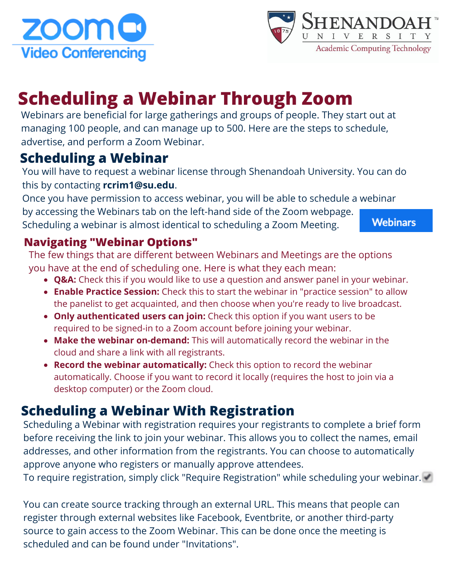



# **Scheduling a Webinar Through Zoom**

Webinars are beneficial for large gatherings and groups of people. They start out at managing 100 people, and can manage up to 500. Here are the steps to schedule, advertise, and perform a Zoom Webinar.

## **Scheduling a Webinar**

You will have to request a webinar license through Shenandoah University. You can do this by contacting **rcrim1@su.edu**.

Once you have permission to access webinar, you will be able to schedule a webinar by accessing the Webinars tab on the left-hand side of the Zoom webpage. Scheduling a webinar is almost identical to scheduling a Zoom Meeting.

**Webinars** 

#### **Navigating "Webinar Options"**

The few things that are different between Webinars and Meetings are the options you have at the end of scheduling one. Here is what they each mean:

- **Q&A:** Check this if you would like to use a question and answer panel in your webinar.
- **Enable Practice Session:** Check this to start the webinar in "practice session" to allow the panelist to get acquainted, and then choose when you're ready to live broadcast.
- **Only authenticated users can join:** Check this option if you want users to be required to be signed-in to a Zoom account before joining your webinar.
- **Make the webinar on-demand:** This will automatically record the webinar in the cloud and share a link with all registrants.
- **Record the webinar automatically:** Check this option to record the webinar automatically. Choose if you want to record it locally (requires the host to join via a desktop computer) or the Zoom cloud.

## **Scheduling a Webinar With Registration**

Scheduling a Webinar with registration requires your registrants to complete a brief form before receiving the link to join your webinar. This allows you to collect the names, email addresses, and other information from the registrants. You can choose to automatically approve anyone who registers or manually approve attendees.

To require registration, simply click "Require Registration" while scheduling your webinar.

You can create source tracking through an external URL. This means that people can register through external websites like Facebook, Eventbrite, or another third-party source to gain access to the Zoom Webinar. This can be done once the meeting is scheduled and can be found under "Invitations".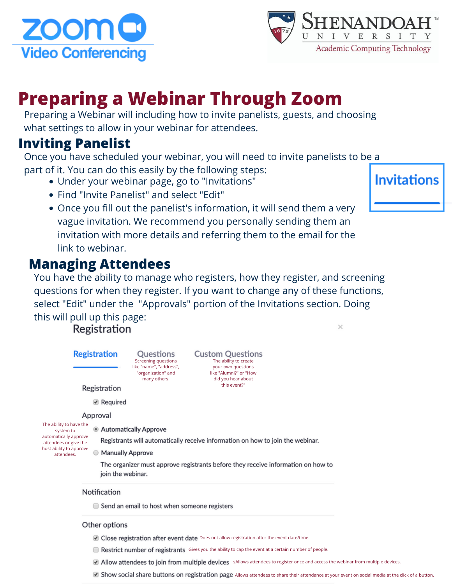



# **Preparing a Webinar Through Zoom**

Preparing a Webinar will including how to invite panelists, guests, and choosing what settings to allow in your webinar for attendees.

#### **Inviting Panelist**

Once you have scheduled your webinar, you will need to invite panelists to be a part of it. You can do this easily by the following steps:

- Under your webinar page, go to "Invitations"
- Find "Invite Panelist" and select "Edit"
- Once you fill out the panelist's information, it will send them a very vague invitation. We recommend you personally sending them an invitation with more details and referring them to the email for the link to webinar.

#### **Managing Attendees**

You have the ability to manage who registers, how they register, and screening questions for when they register. If you want to change any of these functions, select "Edit" under the "Approvals" portion of the Invitations section. Doing this will pull up this page:  $\times$ 

Registration



- **E** Restrict number of registrants Gives you the ability to cap the event at a certain number of people.
- Allow attendees to join from multiple devices sAllows attendees to register once and access the webinar from multiple devices.
- **All Show social share buttons on registration page** Allows attendees to share their attendance at your event on social media at the click of a button.

**Invitations**